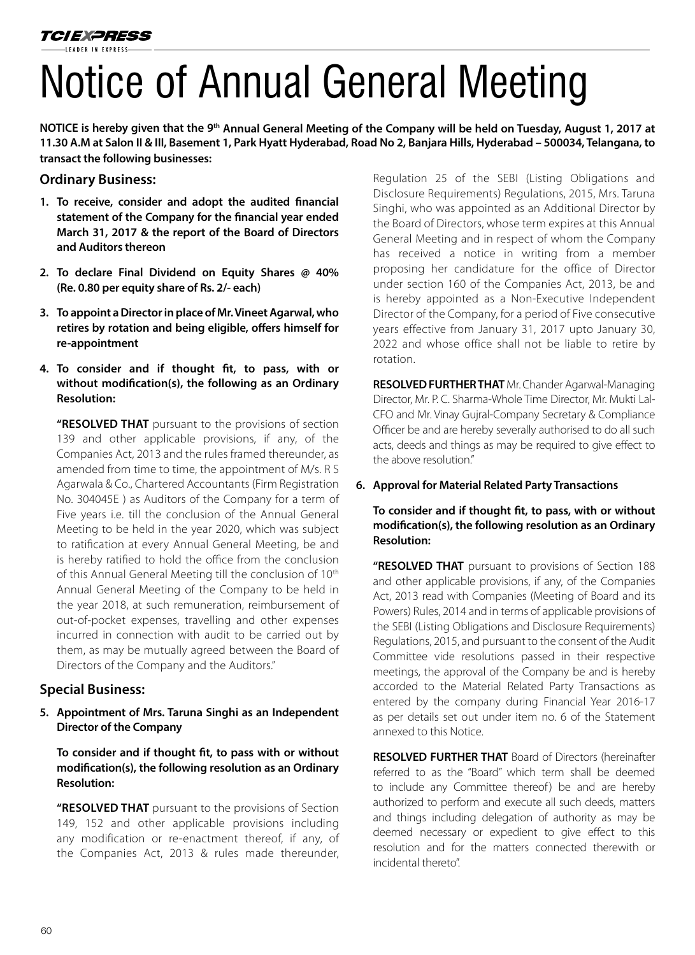# Notice of Annual General Meeting

**NOTICE is hereby given that the 9th Annual General Meeting of the Company will be held on Tuesday, August 1, 2017 at**  11.30 A.M at Salon II & III, Basement 1, Park Hyatt Hyderabad, Road No 2, Banjara Hills, Hyderabad - 500034, Telangana, to **transact the following businesses:**

# **Ordinary Business:**

- **1. To receive, consider and adopt the audited inancial statement of the Company for the inancial year ended March 31, 2017 & the report of the Board of Directors and Auditors thereon**
- **2. To declare Final Dividend on Equity Shares @ 40% (Re. 0.80 per equity share of Rs. 2/- each)**
- **3. To appoint a Director in place of Mr. Vineet Agarwal, who retires by rotation and being eligible, ofers himself for re-appointment**
- **4. To consider and if thought it, to pass, with or without modiication(s), the following as an Ordinary Resolution:**

**"RESOLVED THAT** pursuant to the provisions of section 139 and other applicable provisions, if any, of the Companies Act, 2013 and the rules framed thereunder, as amended from time to time, the appointment of M/s. R S Agarwala & Co., Chartered Accountants (Firm Registration No. 304045E ) as Auditors of the Company for a term of Five years i.e. till the conclusion of the Annual General Meeting to be held in the year 2020, which was subject to ratification at every Annual General Meeting, be and is hereby ratified to hold the office from the conclusion of this Annual General Meeting till the conclusion of 10<sup>th</sup> Annual General Meeting of the Company to be held in the year 2018, at such remuneration, reimbursement of out-of-pocket expenses, travelling and other expenses incurred in connection with audit to be carried out by them, as may be mutually agreed between the Board of Directors of the Company and the Auditors."

# **Special Business:**

**5. Appointment of Mrs. Taruna Singhi as an Independent Director of the Company**

 **To consider and if thought it, to pass with or without modiication(s), the following resolution as an Ordinary Resolution:**

 **"RESOLVED THAT** pursuant to the provisions of Section 149, 152 and other applicable provisions including any modification or re-enactment thereof, if any, of the Companies Act, 2013 & rules made thereunder, Regulation 25 of the SEBI (Listing Obligations and Disclosure Requirements) Regulations, 2015, Mrs. Taruna Singhi, who was appointed as an Additional Director by the Board of Directors, whose term expires at this Annual General Meeting and in respect of whom the Company has received a notice in writing from a member proposing her candidature for the office of Director under section 160 of the Companies Act, 2013, be and is hereby appointed as a Non-Executive Independent Director of the Company, for a period of Five consecutive years effective from January 31, 2017 upto January 30, 2022 and whose office shall not be liable to retire by rotation.

**RESOLVED FURTHER THAT** Mr. Chander Agarwal-Managing Director, Mr. P. C. Sharma-Whole Time Director, Mr. Mukti Lal-CFO and Mr. Vinay Gujral-Company Secretary & Compliance Officer be and are hereby severally authorised to do all such acts, deeds and things as may be required to give efect to the above resolution."

## **6. Approval for Material Related Party Transactions**

# **To consider and if thought it, to pass, with or without modiication(s), the following resolution as an Ordinary Resolution:**

**"RESOLVED THAT** pursuant to provisions of Section 188 and other applicable provisions, if any, of the Companies Act, 2013 read with Companies (Meeting of Board and its Powers) Rules, 2014 and in terms of applicable provisions of the SEBI (Listing Obligations and Disclosure Requirements) Regulations, 2015, and pursuant to the consent of the Audit Committee vide resolutions passed in their respective meetings, the approval of the Company be and is hereby accorded to the Material Related Party Transactions as entered by the company during Financial Year 2016-17 as per details set out under item no. 6 of the Statement annexed to this Notice.

**RESOLVED FURTHER THAT** Board of Directors (hereinafter referred to as the "Board" which term shall be deemed to include any Committee thereof) be and are hereby authorized to perform and execute all such deeds, matters and things including delegation of authority as may be deemed necessary or expedient to give effect to this resolution and for the matters connected therewith or incidental thereto".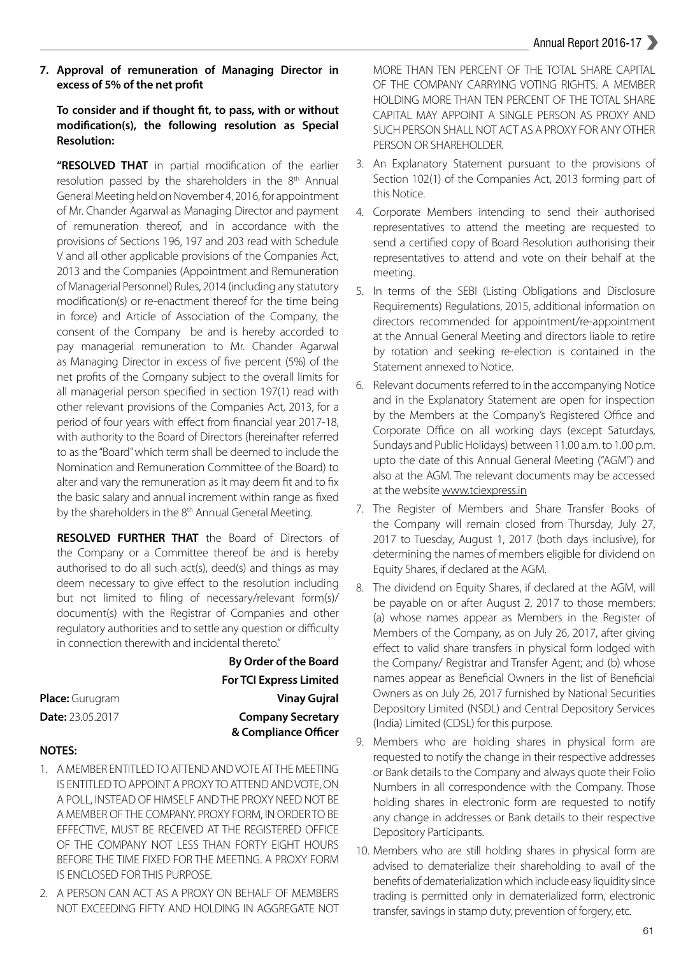**7. Approval of remuneration of Managing Director in**  excess of 5% of the net profit

# **To consider and if thought it, to pass, with or without modiication(s), the following resolution as Special Resolution:**

"RESOLVED THAT in partial modification of the earlier resolution passed by the shareholders in the 8<sup>th</sup> Annual General Meeting held on November 4, 2016, for appointment of Mr. Chander Agarwal as Managing Director and payment of remuneration thereof, and in accordance with the provisions of Sections 196, 197 and 203 read with Schedule V and all other applicable provisions of the Companies Act, 2013 and the Companies (Appointment and Remuneration of Managerial Personnel) Rules, 2014 (including any statutory modification(s) or re-enactment thereof for the time being in force) and Article of Association of the Company, the consent of the Company be and is hereby accorded to pay managerial remuneration to Mr. Chander Agarwal as Managing Director in excess of five percent (5%) of the net profits of the Company subject to the overall limits for all managerial person specified in section 197(1) read with other relevant provisions of the Companies Act, 2013, for a period of four years with effect from financial year 2017-18, with authority to the Board of Directors (hereinafter referred to as the "Board" which term shall be deemed to include the Nomination and Remuneration Committee of the Board) to alter and vary the remuneration as it may deem fit and to fix the basic salary and annual increment within range as fixed by the shareholders in the 8<sup>th</sup> Annual General Meeting.

**RESOLVED FURTHER THAT** the Board of Directors of the Company or a Committee thereof be and is hereby authorised to do all such act(s), deed(s) and things as may deem necessary to give effect to the resolution including but not limited to filing of necessary/relevant form(s)/ document(s) with the Registrar of Companies and other regulatory authorities and to settle any question or difficulty in connection therewith and incidental thereto."

|                         | <b>By Order of the Board</b>   |
|-------------------------|--------------------------------|
|                         | <b>For TCI Express Limited</b> |
| <b>Place:</b> Gurugram  | <b>Vinay Gujral</b>            |
| <b>Date:</b> 23.05.2017 | <b>Company Secretary</b>       |
|                         | & Compliance Officer           |

#### **NOTES:**

- 1. A MEMBER ENTITLED TO ATTEND AND VOTE AT THE MEETING IS ENTITLED TO APPOINT A PROXY TO ATTEND AND VOTE, ON A POLL, INSTEAD OF HIMSELF AND THE PROXY NEED NOT BE A MEMBER OF THE COMPANY. PROXY FORM, IN ORDER TO BE EFFECTIVE, MUST BE RECEIVED AT THE REGISTERED OFFICE OF THE COMPANY NOT LESS THAN FORTY EIGHT HOURS BEFORE THE TIME FIXED FOR THE MEETING. A PROXY FORM IS ENCLOSED FOR THIS PURPOSE.
- 2. A PERSON CAN ACT AS A PROXY ON BEHALF OF MEMBERS NOT EXCEEDING FIFTY AND HOLDING IN AGGREGATE NOT

MORE THAN TEN PERCENT OF THE TOTAL SHARE CAPITAL OF THE COMPANY CARRYING VOTING RIGHTS. A MEMBER HOLDING MORE THAN TEN PERCENT OF THE TOTAL SHARE CAPITAL MAY APPOINT A SINGLE PERSON AS PROXY AND SUCH PERSON SHALL NOT ACT AS A PROXY FOR ANY OTHER PERSON OR SHAREHOLDER.

- 3. An Explanatory Statement pursuant to the provisions of Section 102(1) of the Companies Act, 2013 forming part of this Notice.
- 4. Corporate Members intending to send their authorised representatives to attend the meeting are requested to send a certified copy of Board Resolution authorising their representatives to attend and vote on their behalf at the meeting.
- 5. In terms of the SEBI (Listing Obligations and Disclosure Requirements) Regulations, 2015, additional information on directors recommended for appointment/re-appointment at the Annual General Meeting and directors liable to retire by rotation and seeking re-election is contained in the Statement annexed to Notice.
- 6. Relevant documents referred to in the accompanying Notice and in the Explanatory Statement are open for inspection by the Members at the Company's Registered Office and Corporate Office on all working days (except Saturdays, Sundays and Public Holidays) between 11.00 a.m. to 1.00 p.m. upto the date of this Annual General Meeting ("AGM") and also at the AGM. The relevant documents may be accessed at the website www.tciexpress.in
- 7. The Register of Members and Share Transfer Books of the Company will remain closed from Thursday, July 27, 2017 to Tuesday, August 1, 2017 (both days inclusive), for determining the names of members eligible for dividend on Equity Shares, if declared at the AGM.
- 8. The dividend on Equity Shares, if declared at the AGM, will be payable on or after August 2, 2017 to those members: (a) whose names appear as Members in the Register of Members of the Company, as on July 26, 2017, after giving efect to valid share transfers in physical form lodged with the Company/ Registrar and Transfer Agent; and (b) whose names appear as Beneficial Owners in the list of Beneficial Owners as on July 26, 2017 furnished by National Securities Depository Limited (NSDL) and Central Depository Services (India) Limited (CDSL) for this purpose.
- 9. Members who are holding shares in physical form are requested to notify the change in their respective addresses or Bank details to the Company and always quote their Folio Numbers in all correspondence with the Company. Those holding shares in electronic form are requested to notify any change in addresses or Bank details to their respective Depository Participants.
- 10. Members who are still holding shares in physical form are advised to dematerialize their shareholding to avail of the benefits of dematerialization which include easy liquidity since trading is permitted only in dematerialized form, electronic transfer, savings in stamp duty, prevention of forgery, etc.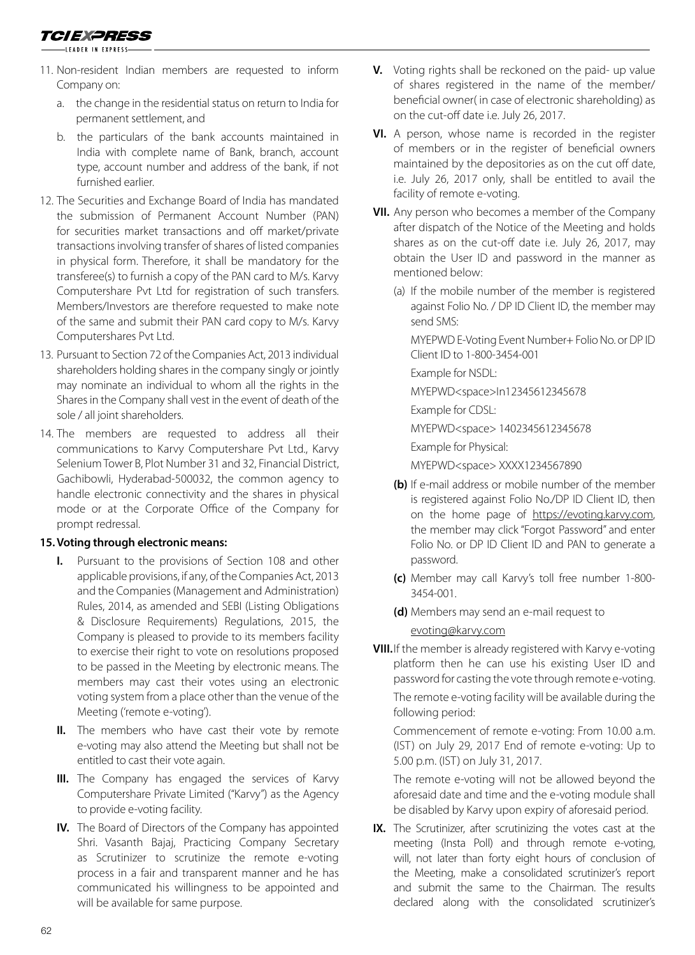- -LEADER IN EXPRESS-
- 11. Non-resident Indian members are requested to inform Company on:
	- a. the change in the residential status on return to India for permanent settlement, and
	- b. the particulars of the bank accounts maintained in India with complete name of Bank, branch, account type, account number and address of the bank, if not furnished earlier.
- 12. The Securities and Exchange Board of India has mandated the submission of Permanent Account Number (PAN) for securities market transactions and off market/private transactions involving transfer of shares of listed companies in physical form. Therefore, it shall be mandatory for the transferee(s) to furnish a copy of the PAN card to M/s. Karvy Computershare Pvt Ltd for registration of such transfers. Members/Investors are therefore requested to make note of the same and submit their PAN card copy to M/s. Karvy Computershares Pvt Ltd.
- 13. Pursuant to Section 72 of the Companies Act, 2013 individual shareholders holding shares in the company singly or jointly may nominate an individual to whom all the rights in the Shares in the Company shall vest in the event of death of the sole / all joint shareholders.
- 14. The members are requested to address all their communications to Karvy Computershare Pvt Ltd., Karvy Selenium Tower B, Plot Number 31 and 32, Financial District, Gachibowli, Hyderabad-500032, the common agency to handle electronic connectivity and the shares in physical mode or at the Corporate Office of the Company for prompt redressal.

#### **15. Voting through electronic means:**

- **I.** Pursuant to the provisions of Section 108 and other applicable provisions, if any, of the Companies Act, 2013 and the Companies (Management and Administration) Rules, 2014, as amended and SEBI (Listing Obligations & Disclosure Requirements) Regulations, 2015, the Company is pleased to provide to its members facility to exercise their right to vote on resolutions proposed to be passed in the Meeting by electronic means. The members may cast their votes using an electronic voting system from a place other than the venue of the Meeting ('remote e-voting').
- **II.** The members who have cast their vote by remote e-voting may also attend the Meeting but shall not be entitled to cast their vote again.
- **III.** The Company has engaged the services of Karvy Computershare Private Limited ("Karvy") as the Agency to provide e-voting facility.
- **IV.** The Board of Directors of the Company has appointed Shri. Vasanth Bajaj, Practicing Company Secretary as Scrutinizer to scrutinize the remote e-voting process in a fair and transparent manner and he has communicated his willingness to be appointed and will be available for same purpose.
- **V.** Voting rights shall be reckoned on the paid- up value of shares registered in the name of the member/ beneficial owner( in case of electronic shareholding) as on the cut-off date i.e. July 26, 2017.
- **VI.** A person, whose name is recorded in the register of members or in the register of beneficial owners maintained by the depositories as on the cut off date, i.e. July 26, 2017 only, shall be entitled to avail the facility of remote e-voting.
- **VII.** Any person who becomes a member of the Company after dispatch of the Notice of the Meeting and holds shares as on the cut-off date i.e. July 26, 2017, may obtain the User ID and password in the manner as mentioned below:
	- (a) If the mobile number of the member is registered against Folio No. / DP ID Client ID, the member may send SMS:

 MYEPWD E-Voting Event Number+ Folio No. or DP ID Client ID to 1-800-3454-001

Example for NSDL:

MYEPWD<space>In12345612345678

Example for CDSL:

MYEPWD<space> 1402345612345678

Example for Physical:

MYEPWD<space> XXXX1234567890

- **(b)** If e-mail address or mobile number of the member is registered against Folio No./DP ID Client ID, then on the home page of https://evoting.karvy.com, the member may click "Forgot Password" and enter Folio No. or DP ID Client ID and PAN to generate a password.
- **(c)** Member may call Karvy's toll free number 1-800- 3454-001.
- **(d)** Members may send an e-mail request to

evoting@karvy.com

**VIII.** If the member is already registered with Karvy e-voting platform then he can use his existing User ID and password for casting the vote through remote e-voting.

 The remote e-voting facility will be available during the following period:

 Commencement of remote e-voting: From 10.00 a.m. (IST) on July 29, 2017 End of remote e-voting: Up to 5.00 p.m. (IST) on July 31, 2017.

 The remote e-voting will not be allowed beyond the aforesaid date and time and the e-voting module shall be disabled by Karvy upon expiry of aforesaid period.

**IX.** The Scrutinizer, after scrutinizing the votes cast at the meeting (Insta Poll) and through remote e-voting, will, not later than forty eight hours of conclusion of the Meeting, make a consolidated scrutinizer's report and submit the same to the Chairman. The results declared along with the consolidated scrutinizer's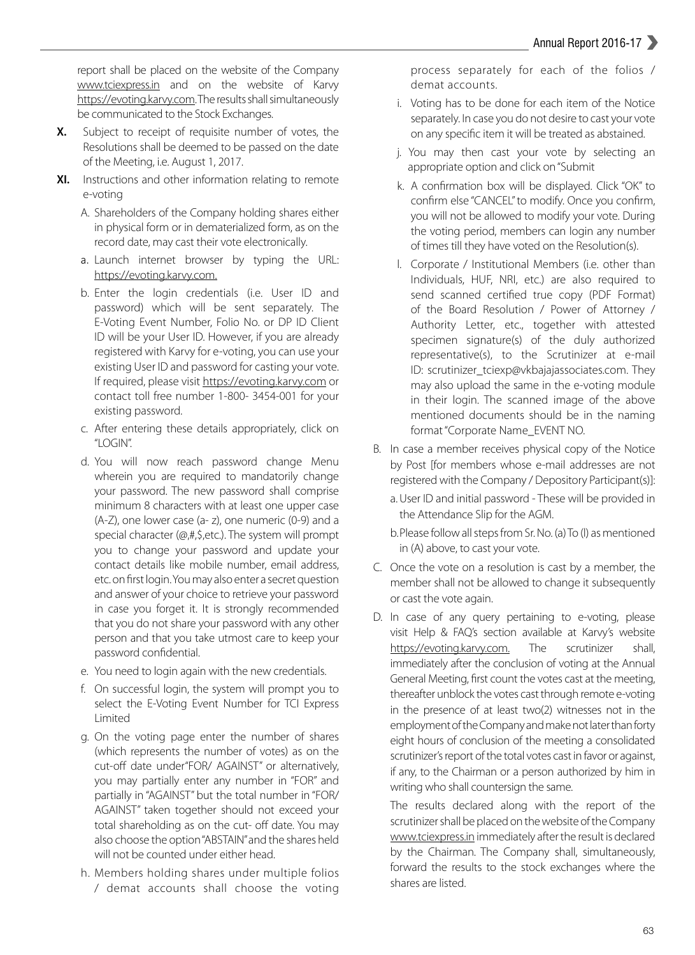report shall be placed on the website of the Company www.tciexpress.in and on the website of Karvy https://evoting.karvy.com. The results shall simultaneously be communicated to the Stock Exchanges.

- **X.** Subject to receipt of requisite number of votes, the Resolutions shall be deemed to be passed on the date of the Meeting, i.e. August 1, 2017.
- **XI.** Instructions and other information relating to remote e-voting
	- A. Shareholders of the Company holding shares either in physical form or in dematerialized form, as on the record date, may cast their vote electronically.
	- a. Launch internet browser by typing the URL: https://evoting.karvy.com.
	- b. Enter the login credentials (i.e. User ID and password) which will be sent separately. The E-Voting Event Number, Folio No. or DP ID Client ID will be your User ID. However, if you are already registered with Karvy for e-voting, you can use your existing User ID and password for casting your vote. If required, please visit https://evoting.karvy.com or contact toll free number 1-800- 3454-001 for your existing password.
	- c. After entering these details appropriately, click on "LOGIN".
	- d. You will now reach password change Menu wherein you are required to mandatorily change your password. The new password shall comprise minimum 8 characters with at least one upper case (A-Z), one lower case (a- z), one numeric (0-9) and a special character (@,#,\$,etc.). The system will prompt you to change your password and update your contact details like mobile number, email address, etc. on first login. You may also enter a secret question and answer of your choice to retrieve your password in case you forget it. It is strongly recommended that you do not share your password with any other person and that you take utmost care to keep your password confidential.
	- e. You need to login again with the new credentials.
	- f. On successful login, the system will prompt you to select the E-Voting Event Number for TCI Express Limited
	- g. On the voting page enter the number of shares (which represents the number of votes) as on the cut-off date under"FOR/ AGAINST" or alternatively, you may partially enter any number in "FOR" and partially in "AGAINST" but the total number in "FOR/ AGAINST" taken together should not exceed your total shareholding as on the cut- off date. You may also choose the option "ABSTAIN" and the shares held will not be counted under either head.
	- h. Members holding shares under multiple folios / demat accounts shall choose the voting

process separately for each of the folios / demat accounts.

- i. Voting has to be done for each item of the Notice separately. In case you do not desire to cast your vote on any specific item it will be treated as abstained.
- j. You may then cast your vote by selecting an appropriate option and click on "Submit
- k. A confirmation box will be displayed. Click "OK" to confirm else "CANCEL" to modify. Once you confirm, you will not be allowed to modify your vote. During the voting period, members can login any number of times till they have voted on the Resolution(s).
- l. Corporate / Institutional Members (i.e. other than Individuals, HUF, NRI, etc.) are also required to send scanned certified true copy (PDF Format) of the Board Resolution / Power of Attorney / Authority Letter, etc., together with attested specimen signature(s) of the duly authorized representative(s), to the Scrutinizer at e-mail ID: scrutinizer\_tciexp@vkbajajassociates.com. They may also upload the same in the e-voting module in their login. The scanned image of the above mentioned documents should be in the naming format "Corporate Name\_EVENT NO.
- B. In case a member receives physical copy of the Notice by Post [for members whose e-mail addresses are not registered with the Company / Depository Participant(s)]:
	- a. User ID and initial password These will be provided in the Attendance Slip for the AGM.
	- b. Please follow all steps from Sr. No. (a) To (l) as mentioned in (A) above, to cast your vote.
- C. Once the vote on a resolution is cast by a member, the member shall not be allowed to change it subsequently or cast the vote again.
- D. In case of any query pertaining to e-voting, please visit Help & FAQ's section available at Karvy's website https://evoting.karvy.com. The scrutinizer shall, immediately after the conclusion of voting at the Annual General Meeting, first count the votes cast at the meeting, thereafter unblock the votes cast through remote e-voting in the presence of at least two(2) witnesses not in the employment of the Company and make not later than forty eight hours of conclusion of the meeting a consolidated scrutinizer's report of the total votes cast in favor or against, if any, to the Chairman or a person authorized by him in writing who shall countersign the same.

 The results declared along with the report of the scrutinizer shall be placed on the website of the Company www.tciexpress.in immediately after the result is declared by the Chairman. The Company shall, simultaneously, forward the results to the stock exchanges where the shares are listed.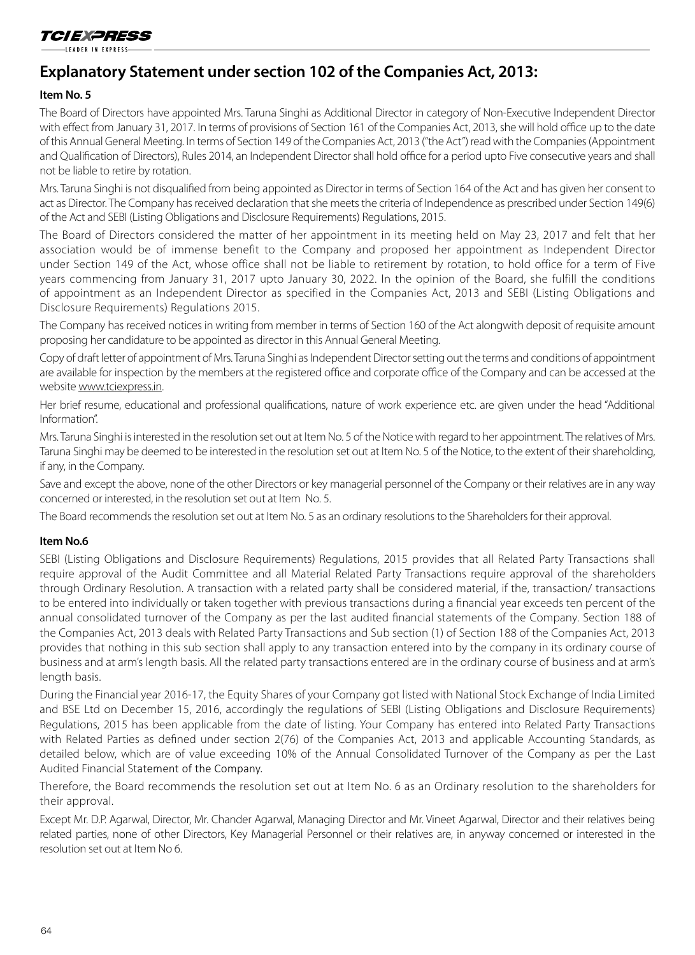#### -IFADER IN FYPRESS

# **Explanatory Statement under section 102 of the Companies Act, 2013:**

# **Item No. 5**

The Board of Directors have appointed Mrs. Taruna Singhi as Additional Director in category of Non-Executive Independent Director with effect from January 31, 2017. In terms of provisions of Section 161 of the Companies Act, 2013, she will hold office up to the date of this Annual General Meeting. In terms of Section 149 of the Companies Act, 2013 ("the Act") read with the Companies (Appointment and Qualification of Directors), Rules 2014, an Independent Director shall hold office for a period upto Five consecutive years and shall not be liable to retire by rotation.

Mrs. Taruna Singhi is not disqualiied from being appointed as Director in terms of Section 164 of the Act and has given her consent to act as Director. The Company has received declaration that she meets the criteria of Independence as prescribed under Section 149(6) of the Act and SEBI (Listing Obligations and Disclosure Requirements) Regulations, 2015.

The Board of Directors considered the matter of her appointment in its meeting held on May 23, 2017 and felt that her association would be of immense benefit to the Company and proposed her appointment as Independent Director under Section 149 of the Act, whose office shall not be liable to retirement by rotation, to hold office for a term of Five years commencing from January 31, 2017 upto January 30, 2022. In the opinion of the Board, she fulfill the conditions of appointment as an Independent Director as specified in the Companies Act, 2013 and SEBI (Listing Obligations and Disclosure Requirements) Regulations 2015.

The Company has received notices in writing from member in terms of Section 160 of the Act alongwith deposit of requisite amount proposing her candidature to be appointed as director in this Annual General Meeting.

Copy of draft letter of appointment of Mrs. Taruna Singhi as Independent Director setting out the terms and conditions of appointment are available for inspection by the members at the registered office and corporate office of the Company and can be accessed at the website www.tciexpress.in.

Her brief resume, educational and professional qualifications, nature of work experience etc. are given under the head "Additional Information".

Mrs. Taruna Singhi is interested in the resolution set out at Item No. 5 of the Notice with regard to her appointment. The relatives of Mrs. Taruna Singhi may be deemed to be interested in the resolution set out at Item No. 5 of the Notice, to the extent of their shareholding, if any, in the Company.

Save and except the above, none of the other Directors or key managerial personnel of the Company or their relatives are in any way concerned or interested, in the resolution set out at Item No. 5.

The Board recommends the resolution set out at Item No. 5 as an ordinary resolutions to the Shareholders for their approval.

#### **Item No.6**

SEBI (Listing Obligations and Disclosure Requirements) Regulations, 2015 provides that all Related Party Transactions shall require approval of the Audit Committee and all Material Related Party Transactions require approval of the shareholders through Ordinary Resolution. A transaction with a related party shall be considered material, if the, transaction/ transactions to be entered into individually or taken together with previous transactions during a financial year exceeds ten percent of the annual consolidated turnover of the Company as per the last audited financial statements of the Company. Section 188 of the Companies Act, 2013 deals with Related Party Transactions and Sub section (1) of Section 188 of the Companies Act, 2013 provides that nothing in this sub section shall apply to any transaction entered into by the company in its ordinary course of business and at arm's length basis. All the related party transactions entered are in the ordinary course of business and at arm's length basis.

During the Financial year 2016-17, the Equity Shares of your Company got listed with National Stock Exchange of India Limited and BSE Ltd on December 15, 2016, accordingly the regulations of SEBI (Listing Obligations and Disclosure Requirements) Regulations, 2015 has been applicable from the date of listing. Your Company has entered into Related Party Transactions with Related Parties as defined under section 2(76) of the Companies Act, 2013 and applicable Accounting Standards, as detailed below, which are of value exceeding 10% of the Annual Consolidated Turnover of the Company as per the Last Audited Financial Statement of the Company.

Therefore, the Board recommends the resolution set out at Item No. 6 as an Ordinary resolution to the shareholders for their approval.

Except Mr. D.P. Agarwal, Director, Mr. Chander Agarwal, Managing Director and Mr. Vineet Agarwal, Director and their relatives being related parties, none of other Directors, Key Managerial Personnel or their relatives are, in anyway concerned or interested in the resolution set out at Item No 6.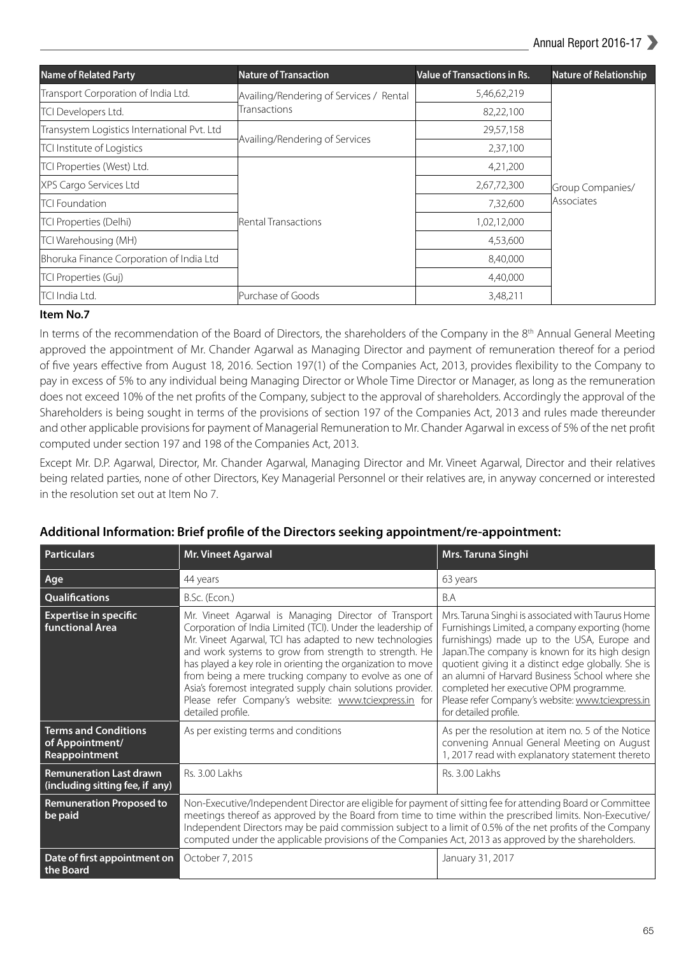| <b>Name of Related Party</b>                | <b>Nature of Transaction</b>            | <b>Value of Transactions in Rs.</b> | <b>Nature of Relationship</b> |
|---------------------------------------------|-----------------------------------------|-------------------------------------|-------------------------------|
| Transport Corporation of India Ltd.         | Availing/Rendering of Services / Rental | 5,46,62,219                         |                               |
| TCI Developers Ltd.                         | <b>Transactions</b>                     | 82,22,100                           |                               |
| Transystem Logistics International Pvt. Ltd |                                         | 29,57,158                           |                               |
| TCI Institute of Logistics                  | Availing/Rendering of Services          | 2,37,100                            |                               |
| TCI Properties (West) Ltd.                  |                                         | 4,21,200                            |                               |
| XPS Cargo Services Ltd                      |                                         | 2,67,72,300                         | Group Companies/              |
| <b>TCI Foundation</b>                       | Rental Transactions                     | 7,32,600                            | Associates                    |
| TCI Properties (Delhi)                      |                                         | 1,02,12,000                         |                               |
| TCI Warehousing (MH)                        |                                         | 4,53,600                            |                               |
| Bhoruka Finance Corporation of India Ltd    |                                         | 8,40,000                            |                               |
| TCI Properties (Guj)                        |                                         | 4,40,000                            |                               |
| TCI India Ltd.                              | Purchase of Goods                       | 3,48,211                            |                               |

## **Item No.7**

In terms of the recommendation of the Board of Directors, the shareholders of the Company in the 8<sup>th</sup> Annual General Meeting approved the appointment of Mr. Chander Agarwal as Managing Director and payment of remuneration thereof for a period of ive years efective from August 18, 2016. Section 197(1) of the Companies Act, 2013, provides lexibility to the Company to pay in excess of 5% to any individual being Managing Director or Whole Time Director or Manager, as long as the remuneration does not exceed 10% of the net profits of the Company, subject to the approval of shareholders. Accordingly the approval of the Shareholders is being sought in terms of the provisions of section 197 of the Companies Act, 2013 and rules made thereunder and other applicable provisions for payment of Managerial Remuneration to Mr. Chander Agarwal in excess of 5% of the net profit computed under section 197 and 198 of the Companies Act, 2013.

Except Mr. D.P. Agarwal, Director, Mr. Chander Agarwal, Managing Director and Mr. Vineet Agarwal, Director and their relatives being related parties, none of other Directors, Key Managerial Personnel or their relatives are, in anyway concerned or interested in the resolution set out at Item No 7.

| <b>Particulars</b>                                                | Mr. Vineet Agarwal                                                                                                                                                                                                                                                                                                                                                                                                                                                                                             | Mrs. Taruna Singhi                                                                                                                                                                                                                                                                                                                                                                                                                     |
|-------------------------------------------------------------------|----------------------------------------------------------------------------------------------------------------------------------------------------------------------------------------------------------------------------------------------------------------------------------------------------------------------------------------------------------------------------------------------------------------------------------------------------------------------------------------------------------------|----------------------------------------------------------------------------------------------------------------------------------------------------------------------------------------------------------------------------------------------------------------------------------------------------------------------------------------------------------------------------------------------------------------------------------------|
| Age                                                               | 44 years                                                                                                                                                                                                                                                                                                                                                                                                                                                                                                       | 63 years                                                                                                                                                                                                                                                                                                                                                                                                                               |
| <b>Qualifications</b>                                             | B.Sc. (Econ.)                                                                                                                                                                                                                                                                                                                                                                                                                                                                                                  | B.A                                                                                                                                                                                                                                                                                                                                                                                                                                    |
| <b>Expertise in specific</b><br><b>functional Area</b>            | Mr. Vineet Agarwal is Managing Director of Transport<br>Corporation of India Limited (TCI). Under the leadership of<br>Mr. Vineet Agarwal, TCI has adapted to new technologies<br>and work systems to grow from strength to strength. He<br>has played a key role in orienting the organization to move<br>from being a mere trucking company to evolve as one of<br>Asia's foremost integrated supply chain solutions provider.<br>Please refer Company's website: www.tciexpress.in for<br>detailed profile. | Mrs. Taruna Singhi is associated with Taurus Home<br>Furnishings Limited, a company exporting (home<br>furnishings) made up to the USA, Europe and<br>Japan. The company is known for its high design<br>quotient giving it a distinct edge globally. She is<br>an alumni of Harvard Business School where she<br>completed her executive OPM programme.<br>Please refer Company's website: www.tciexpress.in<br>for detailed profile. |
| <b>Terms and Conditions</b><br>of Appointment/<br>Reappointment   | As per existing terms and conditions                                                                                                                                                                                                                                                                                                                                                                                                                                                                           | As per the resolution at item no. 5 of the Notice<br>convening Annual General Meeting on August<br>1, 2017 read with explanatory statement thereto                                                                                                                                                                                                                                                                                     |
| <b>Remuneration Last drawn</b><br>(including sitting fee, if any) | <b>Rs. 3.00 Lakhs</b>                                                                                                                                                                                                                                                                                                                                                                                                                                                                                          | Rs. 3.00 Lakhs                                                                                                                                                                                                                                                                                                                                                                                                                         |
| <b>Remuneration Proposed to</b><br>be paid                        | Non-Executive/Independent Director are eligible for payment of sitting fee for attending Board or Committee<br>meetings thereof as approved by the Board from time to time within the prescribed limits. Non-Executive/<br>Independent Directors may be paid commission subject to a limit of 0.5% of the net profits of the Company<br>computed under the applicable provisions of the Companies Act, 2013 as approved by the shareholders.                                                                   |                                                                                                                                                                                                                                                                                                                                                                                                                                        |
| Date of first appointment on<br>the Board                         | October 7, 2015                                                                                                                                                                                                                                                                                                                                                                                                                                                                                                | January 31, 2017                                                                                                                                                                                                                                                                                                                                                                                                                       |

# **Additional Information: Brief proile of the Directors seeking appointment/re-appointment:**